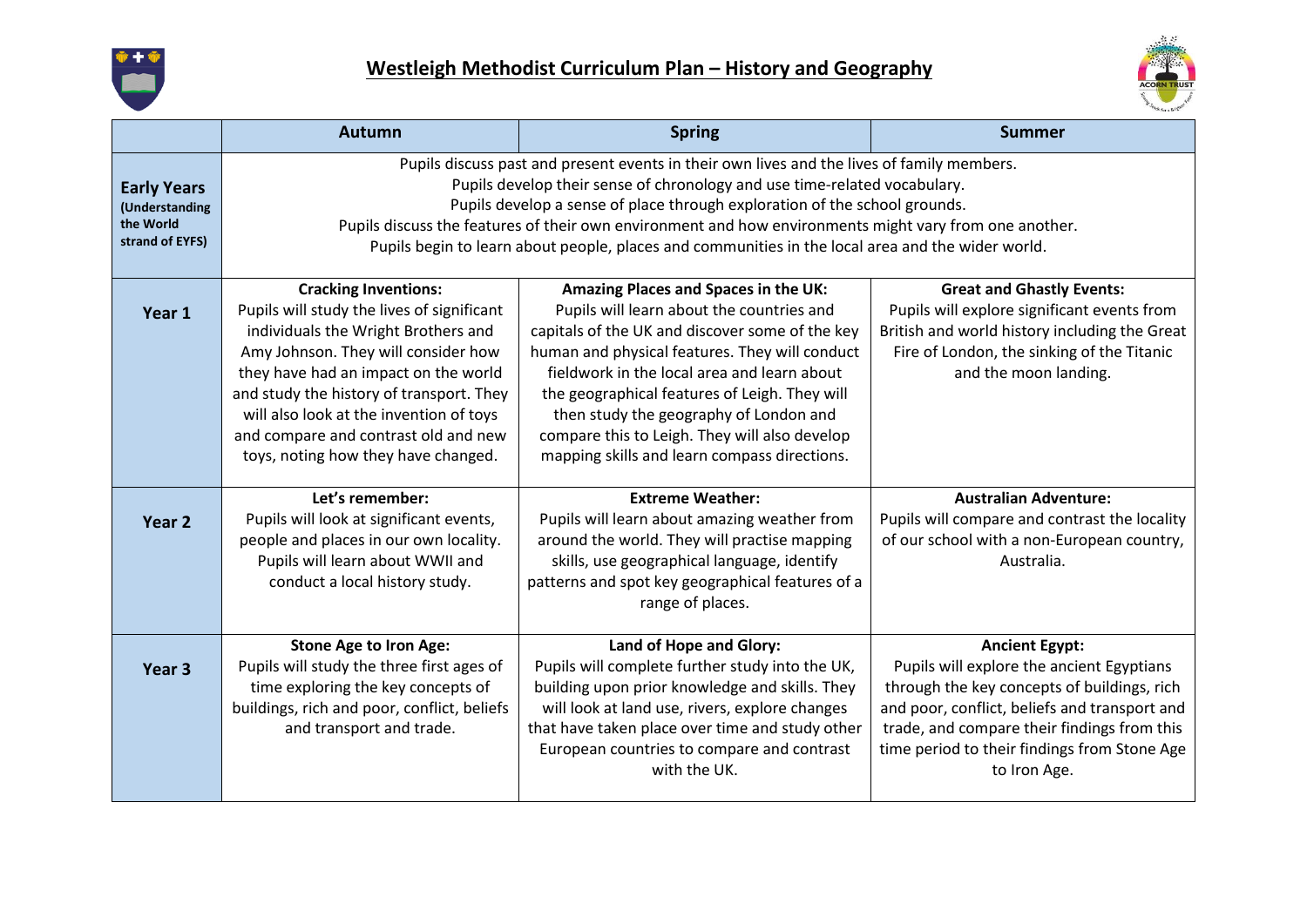



|                                                                      | <b>Autumn</b>                                                                                                                                                                                                                                                                                                                                                                                                                                                        | <b>Spring</b>                                                                                                                                                                                                                                                                                                                                                                                                                     | <b>Summer</b>                                                                                                                                                                                                                                                                     |
|----------------------------------------------------------------------|----------------------------------------------------------------------------------------------------------------------------------------------------------------------------------------------------------------------------------------------------------------------------------------------------------------------------------------------------------------------------------------------------------------------------------------------------------------------|-----------------------------------------------------------------------------------------------------------------------------------------------------------------------------------------------------------------------------------------------------------------------------------------------------------------------------------------------------------------------------------------------------------------------------------|-----------------------------------------------------------------------------------------------------------------------------------------------------------------------------------------------------------------------------------------------------------------------------------|
| <b>Early Years</b><br>(Understanding<br>the World<br>strand of EYFS) | Pupils discuss past and present events in their own lives and the lives of family members.<br>Pupils develop their sense of chronology and use time-related vocabulary.<br>Pupils develop a sense of place through exploration of the school grounds.<br>Pupils discuss the features of their own environment and how environments might vary from one another.<br>Pupils begin to learn about people, places and communities in the local area and the wider world. |                                                                                                                                                                                                                                                                                                                                                                                                                                   |                                                                                                                                                                                                                                                                                   |
| Year 1                                                               | <b>Cracking Inventions:</b><br>Pupils will study the lives of significant<br>individuals the Wright Brothers and<br>Amy Johnson. They will consider how<br>they have had an impact on the world<br>and study the history of transport. They<br>will also look at the invention of toys<br>and compare and contrast old and new<br>toys, noting how they have changed.                                                                                                | Amazing Places and Spaces in the UK:<br>Pupils will learn about the countries and<br>capitals of the UK and discover some of the key<br>human and physical features. They will conduct<br>fieldwork in the local area and learn about<br>the geographical features of Leigh. They will<br>then study the geography of London and<br>compare this to Leigh. They will also develop<br>mapping skills and learn compass directions. | <b>Great and Ghastly Events:</b><br>Pupils will explore significant events from<br>British and world history including the Great<br>Fire of London, the sinking of the Titanic<br>and the moon landing.                                                                           |
| Year 2                                                               | Let's remember:<br>Pupils will look at significant events,<br>people and places in our own locality.<br>Pupils will learn about WWII and<br>conduct a local history study.                                                                                                                                                                                                                                                                                           | <b>Extreme Weather:</b><br>Pupils will learn about amazing weather from<br>around the world. They will practise mapping<br>skills, use geographical language, identify<br>patterns and spot key geographical features of a<br>range of places.                                                                                                                                                                                    | <b>Australian Adventure:</b><br>Pupils will compare and contrast the locality<br>of our school with a non-European country,<br>Australia.                                                                                                                                         |
| Year <sub>3</sub>                                                    | <b>Stone Age to Iron Age:</b><br>Pupils will study the three first ages of<br>time exploring the key concepts of<br>buildings, rich and poor, conflict, beliefs<br>and transport and trade.                                                                                                                                                                                                                                                                          | Land of Hope and Glory:<br>Pupils will complete further study into the UK,<br>building upon prior knowledge and skills. They<br>will look at land use, rivers, explore changes<br>that have taken place over time and study other<br>European countries to compare and contrast<br>with the UK.                                                                                                                                   | <b>Ancient Egypt:</b><br>Pupils will explore the ancient Egyptians<br>through the key concepts of buildings, rich<br>and poor, conflict, beliefs and transport and<br>trade, and compare their findings from this<br>time period to their findings from Stone Age<br>to Iron Age. |